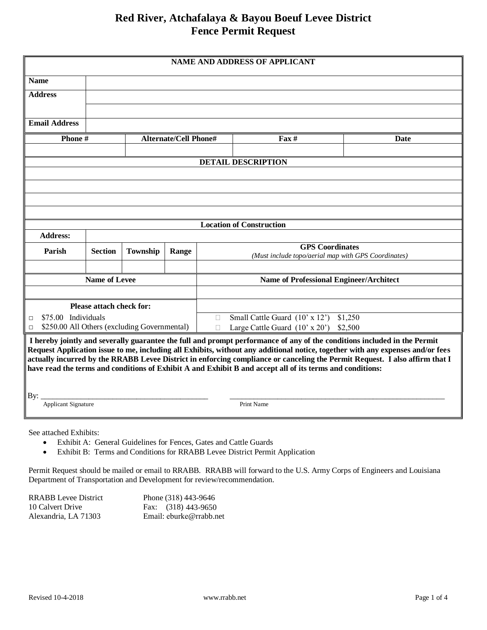# **Red River, Atchafalaya & Bayou Boeuf Levee District Fence Permit Request**

| <b>NAME AND ADDRESS OF APPLICANT</b>                                                                                                                                                                                                                                                                                                                                                                                                                                                                          |                          |          |                                                    |                                                                               |                                 |      |  |  |
|---------------------------------------------------------------------------------------------------------------------------------------------------------------------------------------------------------------------------------------------------------------------------------------------------------------------------------------------------------------------------------------------------------------------------------------------------------------------------------------------------------------|--------------------------|----------|----------------------------------------------------|-------------------------------------------------------------------------------|---------------------------------|------|--|--|
| <b>Name</b>                                                                                                                                                                                                                                                                                                                                                                                                                                                                                                   |                          |          |                                                    |                                                                               |                                 |      |  |  |
| <b>Address</b>                                                                                                                                                                                                                                                                                                                                                                                                                                                                                                |                          |          |                                                    |                                                                               |                                 |      |  |  |
|                                                                                                                                                                                                                                                                                                                                                                                                                                                                                                               |                          |          |                                                    |                                                                               |                                 |      |  |  |
| <b>Email Address</b>                                                                                                                                                                                                                                                                                                                                                                                                                                                                                          |                          |          |                                                    |                                                                               |                                 |      |  |  |
|                                                                                                                                                                                                                                                                                                                                                                                                                                                                                                               | Phone#                   |          | <b>Alternate/Cell Phone#</b>                       |                                                                               | $\text{Fax} \#$                 | Date |  |  |
|                                                                                                                                                                                                                                                                                                                                                                                                                                                                                                               |                          |          |                                                    |                                                                               |                                 |      |  |  |
|                                                                                                                                                                                                                                                                                                                                                                                                                                                                                                               |                          |          |                                                    |                                                                               | <b>DETAIL DESCRIPTION</b>       |      |  |  |
|                                                                                                                                                                                                                                                                                                                                                                                                                                                                                                               |                          |          |                                                    |                                                                               |                                 |      |  |  |
|                                                                                                                                                                                                                                                                                                                                                                                                                                                                                                               |                          |          |                                                    |                                                                               |                                 |      |  |  |
|                                                                                                                                                                                                                                                                                                                                                                                                                                                                                                               |                          |          |                                                    |                                                                               |                                 |      |  |  |
|                                                                                                                                                                                                                                                                                                                                                                                                                                                                                                               |                          |          |                                                    |                                                                               |                                 |      |  |  |
|                                                                                                                                                                                                                                                                                                                                                                                                                                                                                                               |                          |          |                                                    |                                                                               | <b>Location of Construction</b> |      |  |  |
| <b>Address:</b>                                                                                                                                                                                                                                                                                                                                                                                                                                                                                               |                          |          |                                                    |                                                                               |                                 |      |  |  |
| Parish                                                                                                                                                                                                                                                                                                                                                                                                                                                                                                        | <b>Section</b>           | Township | Range                                              | <b>GPS</b> Coordinates<br>(Must include topo/aerial map with GPS Coordinates) |                                 |      |  |  |
|                                                                                                                                                                                                                                                                                                                                                                                                                                                                                                               |                          |          |                                                    |                                                                               |                                 |      |  |  |
|                                                                                                                                                                                                                                                                                                                                                                                                                                                                                                               | <b>Name of Levee</b>     |          |                                                    | <b>Name of Professional Engineer/Architect</b>                                |                                 |      |  |  |
|                                                                                                                                                                                                                                                                                                                                                                                                                                                                                                               |                          |          |                                                    |                                                                               |                                 |      |  |  |
|                                                                                                                                                                                                                                                                                                                                                                                                                                                                                                               | Please attach check for: |          |                                                    |                                                                               |                                 |      |  |  |
| \$75.00 Individuals<br>$\Box$                                                                                                                                                                                                                                                                                                                                                                                                                                                                                 |                          |          |                                                    | Small Cattle Guard (10' x 12')<br>\$1,250<br>П                                |                                 |      |  |  |
| \$250.00 All Others (excluding Governmental)<br>$\Box$                                                                                                                                                                                                                                                                                                                                                                                                                                                        |                          |          | Large Cattle Guard $(10' \times 20')$ \$2,500<br>П |                                                                               |                                 |      |  |  |
| I hereby jointly and severally guarantee the full and prompt performance of any of the conditions included in the Permit<br>Request Application issue to me, including all Exhibits, without any additional notice, together with any expenses and/or fees<br>actually incurred by the RRABB Levee District in enforcing compliance or canceling the Permit Request. I also affirm that I<br>have read the terms and conditions of Exhibit A and Exhibit B and accept all of its terms and conditions:<br>By: |                          |          |                                                    |                                                                               |                                 |      |  |  |
| <b>Applicant Signature</b>                                                                                                                                                                                                                                                                                                                                                                                                                                                                                    |                          |          |                                                    |                                                                               | Print Name                      |      |  |  |
|                                                                                                                                                                                                                                                                                                                                                                                                                                                                                                               |                          |          |                                                    |                                                                               |                                 |      |  |  |

See attached Exhibits:

- Exhibit A: General Guidelines for Fences, Gates and Cattle Guards
- Exhibit B: Terms and Conditions for RRABB Levee District Permit Application

Permit Request should be mailed or email to RRABB. RRABB will forward to the U.S. Army Corps of Engineers and Louisiana Department of Transportation and Development for review/recommendation.

| RRABB Levee District | Phone (318) 443-9646    |
|----------------------|-------------------------|
| 10 Calvert Drive     | Fax: $(318)$ 443-9650   |
| Alexandria, LA 71303 | Email: eburke@rrabb.net |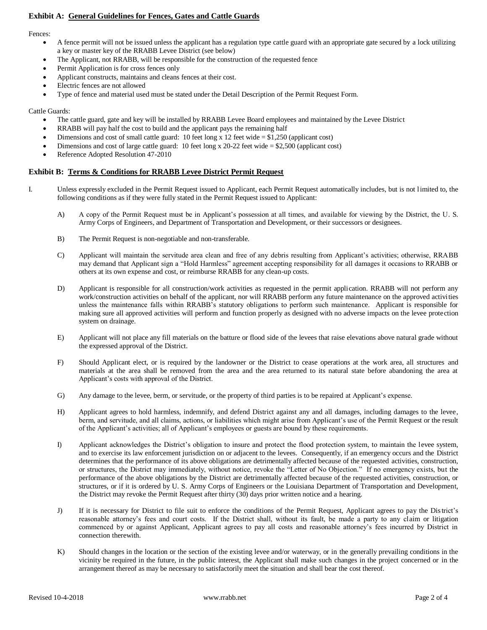# **Exhibit A: General Guidelines for Fences, Gates and Cattle Guards**

Fences:

- A fence permit will not be issued unless the applicant has a regulation type cattle guard with an appropriate gate secured by a lock utilizing a key or master key of the RRABB Levee District (see below)
- The Applicant, not RRABB, will be responsible for the construction of the requested fence
- Permit Application is for cross fences only
- Applicant constructs, maintains and cleans fences at their cost.
- Electric fences are not allowed
- Type of fence and material used must be stated under the Detail Description of the Permit Request Form.

# Cattle Guards:

- The cattle guard, gate and key will be installed by RRABB Levee Board employees and maintained by the Levee District
- RRABB will pay half the cost to build and the applicant pays the remaining half
- Dimensions and cost of small cattle guard: 10 feet long x 12 feet wide = \$1,250 (applicant cost)
- Dimensions and cost of large cattle guard: 10 feet long x 20-22 feet wide = \$2,500 (applicant cost)
- Reference Adopted Resolution 47-2010

## **Exhibit B: Terms & Conditions for RRABB Levee District Permit Request**

- I. Unless expressly excluded in the Permit Request issued to Applicant, each Permit Request automatically includes, but is not limited to, the following conditions as if they were fully stated in the Permit Request issued to Applicant:
	- A) A copy of the Permit Request must be in Applicant's possession at all times, and available for viewing by the District, the U. S. Army Corps of Engineers, and Department of Transportation and Development, or their successors or designees.
	- B) The Permit Request is non-negotiable and non-transferable.
	- C) Applicant will maintain the servitude area clean and free of any debris resulting from Applicant's activities; otherwise, RRABB may demand that Applicant sign a "Hold Harmless" agreement accepting responsibility for all damages it occasions to RRABB or others at its own expense and cost, or reimburse RRABB for any clean-up costs.
	- D) Applicant is responsible for all construction/work activities as requested in the permit application. RRABB will not perform any work/construction activities on behalf of the applicant, nor will RRABB perform any future maintenance on the approved activities unless the maintenance falls within RRABB's statutory obligations to perform such maintenance. Applicant is responsible for making sure all approved activities will perform and function properly as designed with no adverse impacts on the levee protection system on drainage.
	- E) Applicant will not place any fill materials on the batture or flood side of the levees that raise elevations above natural grade without the expressed approval of the District.
	- F) Should Applicant elect, or is required by the landowner or the District to cease operations at the work area, all structures and materials at the area shall be removed from the area and the area returned to its natural state before abandoning the area at Applicant's costs with approval of the District.
	- G) Any damage to the levee, berm, or servitude, or the property of third parties is to be repaired at Applicant's expense.
	- H) Applicant agrees to hold harmless, indemnify, and defend District against any and all damages, including damages to the levee, berm, and servitude, and all claims, actions, or liabilities which might arise from Applicant's use of the Permit Request or the result of the Applicant's activities; all of Applicant's employees or guests are bound by these requirements.
	- I) Applicant acknowledges the District's obligation to insure and protect the flood protection system, to maintain the levee system, and to exercise its law enforcement jurisdiction on or adjacent to the levees. Consequently, if an emergency occurs and the District determines that the performance of its above obligations are detrimentally affected because of the requested activities, construction, or structures, the District may immediately, without notice, revoke the "Letter of No Objection." If no emergency exists, but the performance of the above obligations by the District are detrimentally affected because of the requested activities, construction, or structures, or if it is ordered by U. S. Army Corps of Engineers or the Louisiana Department of Transportation and Development, the District may revoke the Permit Request after thirty (30) days prior written notice and a hearing.
	- J) If it is necessary for District to file suit to enforce the conditions of the Permit Request, Applicant agrees to pay the District's reasonable attorney's fees and court costs. If the District shall, without its fault, be made a party to any claim or litigation commenced by or against Applicant, Applicant agrees to pay all costs and reasonable attorney's fees incurred by District in connection therewith.
	- K) Should changes in the location or the section of the existing levee and/or waterway, or in the generally prevailing conditions in the vicinity be required in the future, in the public interest, the Applicant shall make such changes in the project concerned or in the arrangement thereof as may be necessary to satisfactorily meet the situation and shall bear the cost thereof.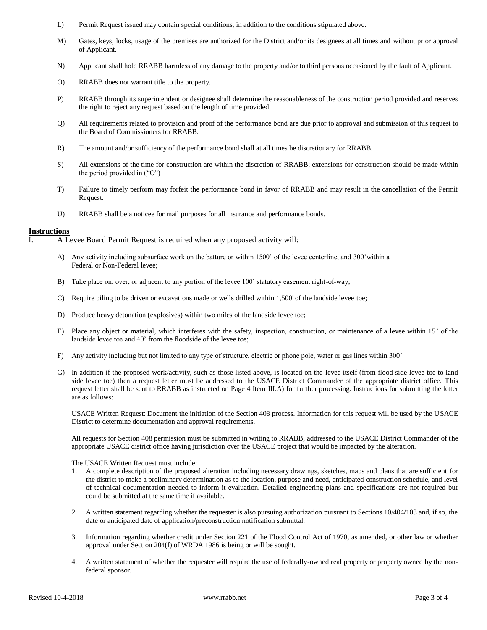- L) Permit Request issued may contain special conditions, in addition to the conditions stipulated above.
- M) Gates, keys, locks, usage of the premises are authorized for the District and/or its designees at all times and without prior approval of Applicant.
- N) Applicant shall hold RRABB harmless of any damage to the property and/or to third persons occasioned by the fault of Applicant.
- O) RRABB does not warrant title to the property.
- P) RRABB through its superintendent or designee shall determine the reasonableness of the construction period provided and reserves the right to reject any request based on the length of time provided.
- Q) All requirements related to provision and proof of the performance bond are due prior to approval and submission of this request to the Board of Commissioners for RRABB.
- R) The amount and/or sufficiency of the performance bond shall at all times be discretionary for RRABB.
- S) All extensions of the time for construction are within the discretion of RRABB; extensions for construction should be made within the period provided in ("O")
- T) Failure to timely perform may forfeit the performance bond in favor of RRABB and may result in the cancellation of the Permit Request.
- U) RRABB shall be a noticee for mail purposes for all insurance and performance bonds.

## **Instructions**

I. A Levee Board Permit Request is required when any proposed activity will:

- A) Any activity including subsurface work on the batture or within 1500' of the levee centerline, and 300'within a Federal or Non-Federal levee;
- B) Take place on, over, or adjacent to any portion of the levee 100' statutory easement right-of-way;
- C) Require piling to be driven or excavations made or wells drilled within 1,500' of the landside levee toe;
- D) Produce heavy detonation (explosives) within two miles of the landside levee toe;
- E) Place any object or material, which interferes with the safety, inspection, construction, or maintenance of a levee within 15' of the landside levee toe and 40' from the floodside of the levee toe;
- F) Any activity including but not limited to any type of structure, electric or phone pole, water or gas lines within 300'
- G) In addition if the proposed work/activity, such as those listed above, is located on the levee itself (from flood side levee toe to land side levee toe) then a request letter must be addressed to the USACE District Commander of the appropriate district office. This request letter shall be sent to RRABB as instructed on Page 4 Item III.A) for further processing. Instructions for submitting the letter are as follows:

USACE Written Request: Document the initiation of the Section 408 process. Information for this request will be used by the USACE District to determine documentation and approval requirements.

All requests for Section 408 permission must be submitted in writing to RRABB, addressed to the USACE District Commander of the appropriate USACE district office having jurisdiction over the USACE project that would be impacted by the alteration.

The USACE Written Request must include:

- 1. A complete description of the proposed alteration including necessary drawings, sketches, maps and plans that are sufficient for the district to make a preliminary determination as to the location, purpose and need, anticipated construction schedule, and level of technical documentation needed to inform it evaluation. Detailed engineering plans and specifications are not required but could be submitted at the same time if available.
- 2. A written statement regarding whether the requester is also pursuing authorization pursuant to Sections 10/404/103 and, if so, the date or anticipated date of application/preconstruction notification submittal.
- 3. Information regarding whether credit under Section 221 of the Flood Control Act of 1970, as amended, or other law or whether approval under Section 204(f) of WRDA 1986 is being or will be sought.
- 4. A written statement of whether the requester will require the use of federally-owned real property or property owned by the nonfederal sponsor.